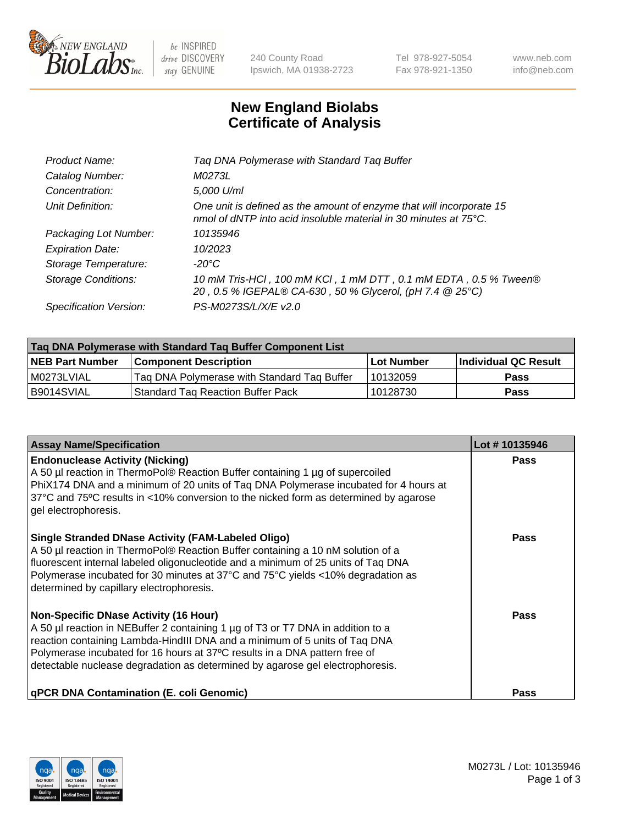

 $be$  INSPIRED drive DISCOVERY stay GENUINE

240 County Road Ipswich, MA 01938-2723 Tel 978-927-5054 Fax 978-921-1350 www.neb.com info@neb.com

## **New England Biolabs Certificate of Analysis**

| Product Name:              | Tag DNA Polymerase with Standard Tag Buffer                                                                                              |
|----------------------------|------------------------------------------------------------------------------------------------------------------------------------------|
| Catalog Number:            | M0273L                                                                                                                                   |
| Concentration:             | 5,000 U/ml                                                                                                                               |
| Unit Definition:           | One unit is defined as the amount of enzyme that will incorporate 15<br>nmol of dNTP into acid insoluble material in 30 minutes at 75°C. |
| Packaging Lot Number:      | 10135946                                                                                                                                 |
| <b>Expiration Date:</b>    | 10/2023                                                                                                                                  |
| Storage Temperature:       | $-20^{\circ}$ C                                                                                                                          |
| <b>Storage Conditions:</b> | 10 mM Tris-HCI, 100 mM KCI, 1 mM DTT, 0.1 mM EDTA, 0.5 % Tween®<br>20, 0.5 % IGEPAL® CA-630, 50 % Glycerol, (pH 7.4 @ 25°C)              |
| Specification Version:     | PS-M0273S/L/X/E v2.0                                                                                                                     |

| Tag DNA Polymerase with Standard Tag Buffer Component List |                                             |                   |                      |  |
|------------------------------------------------------------|---------------------------------------------|-------------------|----------------------|--|
| <b>NEB Part Number</b>                                     | Component Description_                      | <b>Lot Number</b> | Individual QC Result |  |
| M0273LVIAL                                                 | Tag DNA Polymerase with Standard Tag Buffer | 10132059          | Pass                 |  |
| B9014SVIAL                                                 | <b>Standard Tag Reaction Buffer Pack</b>    | 10128730          | <b>Pass</b>          |  |

| <b>Assay Name/Specification</b>                                                                                                                                                                                                                                                                                                                                              | Lot #10135946 |
|------------------------------------------------------------------------------------------------------------------------------------------------------------------------------------------------------------------------------------------------------------------------------------------------------------------------------------------------------------------------------|---------------|
| <b>Endonuclease Activity (Nicking)</b><br>A 50 µl reaction in ThermoPol® Reaction Buffer containing 1 µg of supercoiled<br>PhiX174 DNA and a minimum of 20 units of Taq DNA Polymerase incubated for 4 hours at<br>37°C and 75°C results in <10% conversion to the nicked form as determined by agarose<br>gel electrophoresis.                                              | Pass          |
| <b>Single Stranded DNase Activity (FAM-Labeled Oligo)</b><br>A 50 µl reaction in ThermoPol® Reaction Buffer containing a 10 nM solution of a<br>fluorescent internal labeled oligonucleotide and a minimum of 25 units of Taq DNA<br>Polymerase incubated for 30 minutes at 37°C and 75°C yields <10% degradation as<br>determined by capillary electrophoresis.             | Pass          |
| <b>Non-Specific DNase Activity (16 Hour)</b><br>A 50 µl reaction in NEBuffer 2 containing 1 µg of T3 or T7 DNA in addition to a<br>reaction containing Lambda-HindIII DNA and a minimum of 5 units of Taq DNA<br>Polymerase incubated for 16 hours at 37°C results in a DNA pattern free of<br>detectable nuclease degradation as determined by agarose gel electrophoresis. | Pass          |
| <b>qPCR DNA Contamination (E. coli Genomic)</b>                                                                                                                                                                                                                                                                                                                              | Pass          |

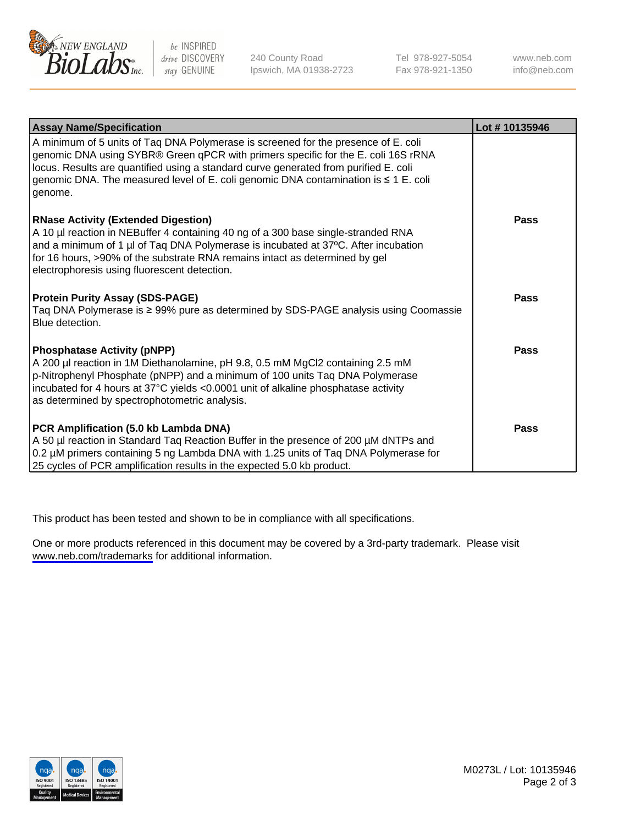

be INSPIRED drive DISCOVERY stay GENUINE

240 County Road Ipswich, MA 01938-2723 Tel 978-927-5054 Fax 978-921-1350

www.neb.com info@neb.com

| <b>Assay Name/Specification</b>                                                                                                                                                                                                                                                                                                                                        | Lot #10135946 |
|------------------------------------------------------------------------------------------------------------------------------------------------------------------------------------------------------------------------------------------------------------------------------------------------------------------------------------------------------------------------|---------------|
| A minimum of 5 units of Taq DNA Polymerase is screened for the presence of E. coli<br>genomic DNA using SYBR® Green qPCR with primers specific for the E. coli 16S rRNA<br>locus. Results are quantified using a standard curve generated from purified E. coli<br>genomic DNA. The measured level of E. coli genomic DNA contamination is $\leq 1$ E. coli<br>genome. |               |
| <b>RNase Activity (Extended Digestion)</b><br>A 10 µl reaction in NEBuffer 4 containing 40 ng of a 300 base single-stranded RNA<br>and a minimum of 1 µl of Taq DNA Polymerase is incubated at 37°C. After incubation<br>for 16 hours, >90% of the substrate RNA remains intact as determined by gel<br>electrophoresis using fluorescent detection.                   | Pass          |
| <b>Protein Purity Assay (SDS-PAGE)</b><br>Taq DNA Polymerase is ≥ 99% pure as determined by SDS-PAGE analysis using Coomassie<br>Blue detection.                                                                                                                                                                                                                       | Pass          |
| <b>Phosphatase Activity (pNPP)</b><br>A 200 µl reaction in 1M Diethanolamine, pH 9.8, 0.5 mM MgCl2 containing 2.5 mM<br>p-Nitrophenyl Phosphate (pNPP) and a minimum of 100 units Taq DNA Polymerase<br>incubated for 4 hours at 37°C yields <0.0001 unit of alkaline phosphatase activity<br>as determined by spectrophotometric analysis.                            | Pass          |
| PCR Amplification (5.0 kb Lambda DNA)<br>A 50 µl reaction in Standard Taq Reaction Buffer in the presence of 200 µM dNTPs and<br>0.2 µM primers containing 5 ng Lambda DNA with 1.25 units of Taq DNA Polymerase for<br>25 cycles of PCR amplification results in the expected 5.0 kb product.                                                                         | <b>Pass</b>   |

This product has been tested and shown to be in compliance with all specifications.

One or more products referenced in this document may be covered by a 3rd-party trademark. Please visit <www.neb.com/trademarks>for additional information.